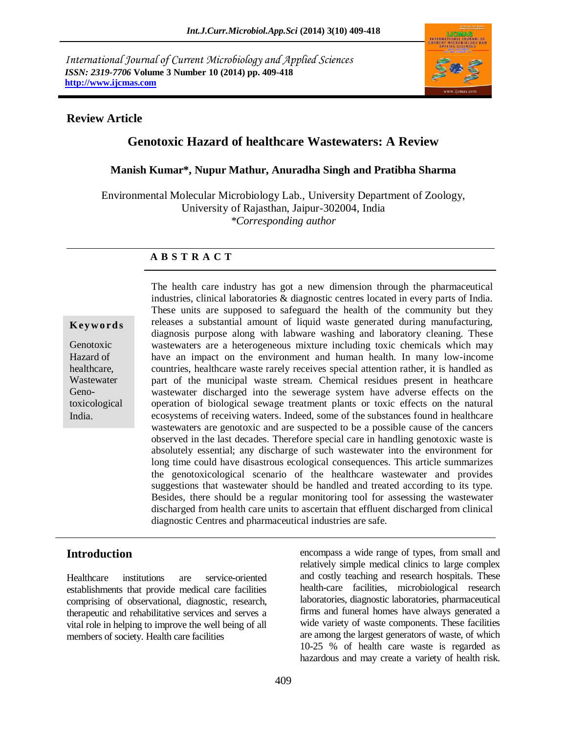*International Journal of Current Microbiology and Applied Sciences ISSN: 2319-7706* **Volume 3 Number 10 (2014) pp. 409-418 http://www.ijcmas.com** 



# **Review Article**

# **Genotoxic Hazard of healthcare Wastewaters: A Review**

### **Manish Kumar\*, Nupur Mathur, Anuradha Singh and Pratibha Sharma**

Environmental Molecular Microbiology Lab., University Department of Zoology, University of Rajasthan, Jaipur-302004, India *\*Corresponding author* 

# **A B S T R A C T**

#### **K ey w o rd s**

Genotoxic Hazard of healthcare, **Wastewater** Genotoxicological India.

The health care industry has got a new dimension through the pharmaceutical industries, clinical laboratories & diagnostic centres located in every parts of India. These units are supposed to safeguard the health of the community but they releases a substantial amount of liquid waste generated during manufacturing, diagnosis purpose along with labware washing and laboratory cleaning. These wastewaters are a heterogeneous mixture including toxic chemicals which may have an impact on the environment and human health. In many low-income countries, healthcare waste rarely receives special attention rather, it is handled as part of the municipal waste stream. Chemical residues present in heathcare wastewater discharged into the sewerage system have adverse effects on the operation of biological sewage treatment plants or toxic effects on the natural ecosystems of receiving waters. Indeed, some of the substances found in healthcare wastewaters are genotoxic and are suspected to be a possible cause of the cancers observed in the last decades. Therefore special care in handling genotoxic waste is absolutely essential; any discharge of such wastewater into the environment for long time could have disastrous ecological consequences. This article summarizes the genotoxicological scenario of the healthcare wastewater and provides suggestions that wastewater should be handled and treated according to its type. Besides, there should be a regular monitoring tool for assessing the wastewater discharged from health care units to ascertain that effluent discharged from clinical diagnostic Centres and pharmaceutical industries are safe.

# **Introduction**

Healthcare institutions are service-oriented establishments that provide medical care facilities comprising of observational, diagnostic, research, therapeutic and rehabilitative services and serves a vital role in helping to improve the well being of all members of society. Health care facilities

encompass a wide range of types, from small and relatively simple medical clinics to large complex and costly teaching and research hospitals. These health-care facilities, microbiological research laboratories, diagnostic laboratories, pharmaceutical firms and funeral homes have always generated a wide variety of waste components. These facilities are among the largest generators of waste, of which 10-25 % of health care waste is regarded as hazardous and may create a variety of health risk.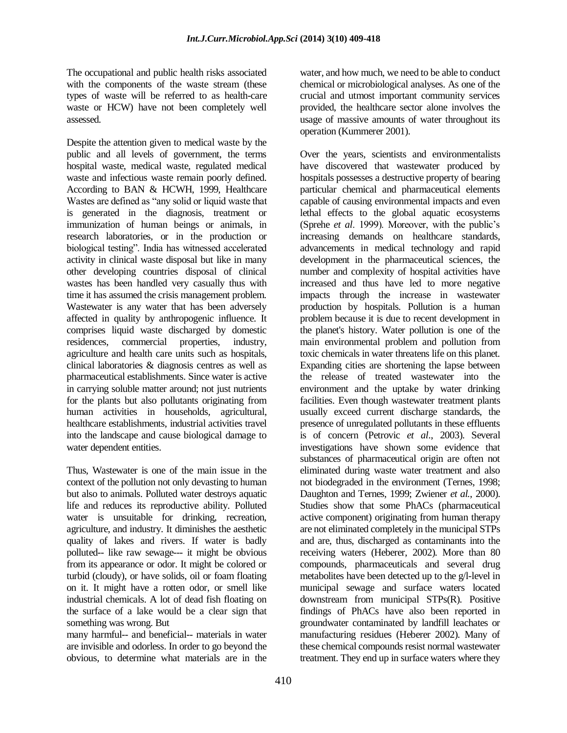The occupational and public health risks associated with the components of the waste stream (these types of waste will be referred to as health-care waste or HCW) have not been completely well assessed.

Despite the attention given to medical waste by the public and all levels of government, the terms hospital waste, medical waste, regulated medical waste and infectious waste remain poorly defined. According to BAN & HCWH, 1999, Healthcare Wastes are defined as "any solid or liquid waste that is generated in the diagnosis, treatment or immunization of human beings or animals, in research laboratories, or in the production or biological testing". India has witnessed accelerated activity in clinical waste disposal but like in many other developing countries disposal of clinical wastes has been handled very casually thus with time it has assumed the crisis management problem. Wastewater is any water that has been adversely affected in quality by anthropogenic influence. It comprises liquid waste discharged by domestic residences, commercial properties, industry, agriculture and health care units such as hospitals, clinical laboratories & diagnosis centres as well as pharmaceutical establishments. Since water is active in carrying soluble matter around; not just nutrients for the plants but also pollutants originating from human activities in households, agricultural, healthcare establishments, industrial activities travel into the landscape and cause biological damage to water dependent entities.

Thus, Wastewater is one of the main issue in the context of the pollution not only devasting to human but also to animals. Polluted water destroys aquatic life and reduces its reproductive ability. Polluted water is unsuitable for drinking, recreation, agriculture, and industry. It diminishes the aesthetic quality of lakes and rivers. If water is badly polluted-- like raw sewage--- it might be obvious from its appearance or odor. It might be colored or turbid (cloudy), or have solids, oil or foam floating on it. It might have a rotten odor, or smell like industrial chemicals. A lot of dead fish floating on the surface of a lake would be a clear sign that something was wrong. But

many harmful-- and beneficial-- materials in water are invisible and odorless. In order to go beyond the obvious, to determine what materials are in the

water, and how much, we need to be able to conduct chemical or microbiological analyses. As one of the crucial and utmost important community services provided, the healthcare sector alone involves the usage of massive amounts of water throughout its operation (Kummerer 2001).

Over the years, scientists and environmentalists have discovered that wastewater produced by hospitals possesses a destructive property of bearing particular chemical and pharmaceutical elements capable of causing environmental impacts and even lethal effects to the global aquatic ecosystems (Sprehe *et al*. 1999). Moreover, with the public's increasing demands on healthcare standards, advancements in medical technology and rapid development in the pharmaceutical sciences, the number and complexity of hospital activities have increased and thus have led to more negative impacts through the increase in wastewater production by hospitals. Pollution is a human problem because it is due to recent development in the planet's history. Water pollution is one of the main environmental problem and pollution from toxic chemicals in water threatens life on this planet. Expanding cities are shortening the lapse between the release of treated wastewater into the environment and the uptake by water drinking facilities. Even though wastewater treatment plants usually exceed current discharge standards, the presence of unregulated pollutants in these effluents is of concern (Petrovic *et al*., 2003). Several investigations have shown some evidence that substances of pharmaceutical origin are often not eliminated during waste water treatment and also not biodegraded in the environment (Ternes, 1998; Daughton and Ternes, 1999; Zwiener *et al.*, 2000). Studies show that some PhACs (pharmaceutical active component) originating from human therapy are not eliminated completely in the municipal STPs and are, thus, discharged as contaminants into the receiving waters (Heberer, 2002). More than 80 compounds, pharmaceuticals and several drug metabolites have been detected up to the g/l-level in municipal sewage and surface waters located downstream from municipal STPs(R). Positive findings of PhACs have also been reported in groundwater contaminated by landfill leachates or manufacturing residues (Heberer 2002). Many of these chemical compounds resist normal wastewater treatment. They end up in surface waters where they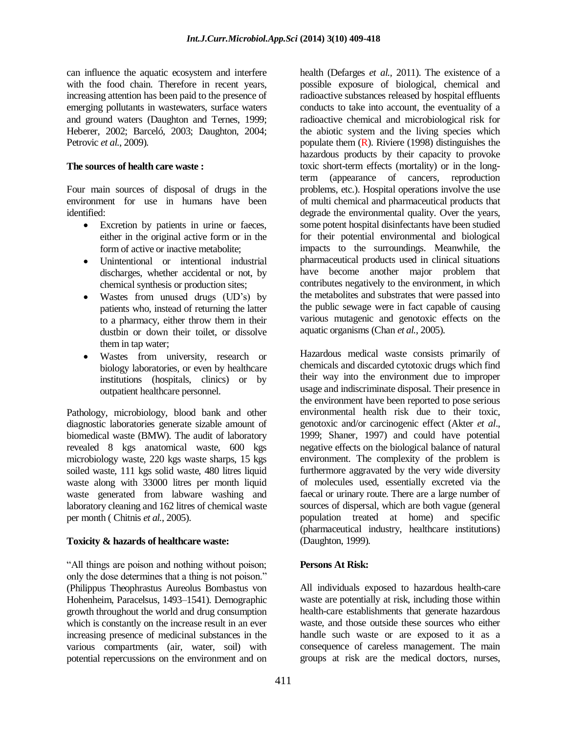can influence the aquatic ecosystem and interfere with the food chain. Therefore in recent years, increasing attention has been paid to the presence of emerging pollutants in wastewaters, surface waters and ground waters (Daughton and Ternes, 1999; Heberer, 2002; Barceló, 2003; Daughton, 2004; Petrovic *et al.*, 2009).

#### **The sources of health care waste :**

Four main sources of disposal of drugs in the environment for use in humans have been identified:

- Excretion by patients in urine or faeces, either in the original active form or in the form of active or inactive metabolite;
- Unintentional or intentional industrial discharges, whether accidental or not, by chemical synthesis or production sites;
- Wastes from unused drugs (UD's) by patients who, instead of returning the latter to a pharmacy, either throw them in their dustbin or down their toilet, or dissolve them in tap water;
- Wastes from university, research or biology laboratories, or even by healthcare institutions (hospitals, clinics) or by outpatient healthcare personnel.

Pathology, microbiology, blood bank and other diagnostic laboratories generate sizable amount of biomedical waste (BMW). The audit of laboratory revealed 8 kgs anatomical waste, 600 kgs microbiology waste, 220 kgs waste sharps, 15 kgs soiled waste, 111 kgs solid waste, 480 litres liquid waste along with 33000 litres per month liquid waste generated from labware washing and laboratory cleaning and 162 litres of chemical waste per month ( Chitnis *et al.*, 2005).

# **Toxicity & hazards of healthcare waste:**

"All things are poison and nothing without poison; only the dose determines that a thing is not poison." (Philippus Theophrastus Aureolus Bombastus von Hohenheim, Paracelsus, 1493–1541). Demographic growth throughout the world and drug consumption which is constantly on the increase result in an ever increasing presence of medicinal substances in the various compartments (air, water, soil) with potential repercussions on the environment and on

health (Defarges *et al.,* 2011). The existence of a possible exposure of biological, chemical and radioactive substances released by hospital effluents conducts to take into account, the eventuality of a radioactive chemical and microbiological risk for the abiotic system and the living species which populate them  $(R)$ . Riviere (1998) distinguishes the hazardous products by their capacity to provoke toxic short-term effects (mortality) or in the longterm (appearance of cancers, reproduction problems, etc.). Hospital operations involve the use of multi chemical and pharmaceutical products that degrade the environmental quality. Over the years, some potent hospital disinfectants have been studied for their potential environmental and biological impacts to the surroundings. Meanwhile, the pharmaceutical products used in clinical situations have become another major problem that contributes negatively to the environment, in which the metabolites and substrates that were passed into the public sewage were in fact capable of causing various mutagenic and genotoxic effects on the aquatic organisms (Chan *et al.*, 2005).

Hazardous medical waste consists primarily of chemicals and discarded cytotoxic drugs which find their way into the environment due to improper usage and indiscriminate disposal. Their presence in the environment have been reported to pose serious environmental health risk due to their toxic, genotoxic and/or carcinogenic effect (Akter *et al*., 1999; Shaner, 1997) and could have potential negative effects on the biological balance of natural environment. The complexity of the problem is furthermore aggravated by the very wide diversity of molecules used, essentially excreted via the faecal or urinary route. There are a large number of sources of dispersal, which are both vague (general population treated at home) and specific (pharmaceutical industry, healthcare institutions) (Daughton, 1999).

# **Persons At Risk:**

All individuals exposed to hazardous health-care waste are potentially at risk, including those within health-care establishments that generate hazardous waste, and those outside these sources who either handle such waste or are exposed to it as a consequence of careless management. The main groups at risk are the medical doctors, nurses,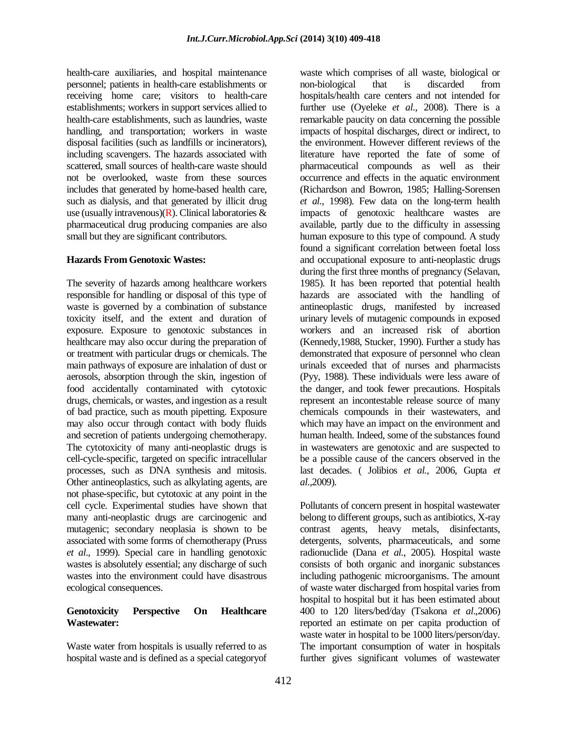health-care auxiliaries, and hospital maintenance personnel; patients in health-care establishments or receiving home care; visitors to health-care establishments; workers in support services allied to health-care establishments, such as laundries, waste handling, and transportation; workers in waste disposal facilities (such as landfills or incinerators), including scavengers. The hazards associated with scattered, small sources of health-care waste should not be overlooked, waste from these sources includes that generated by home-based health care, such as dialysis, and that generated by illicit drug use (usually intravenous)( $\hat{\mathbf{R}}$ ). Clinical laboratories  $\hat{\mathbf{\alpha}}$ pharmaceutical drug producing companies are also small but they are significant contributors.

### **Hazards From Genotoxic Wastes:**

The severity of hazards among healthcare workers responsible for handling or disposal of this type of waste is governed by a combination of substance toxicity itself, and the extent and duration of exposure. Exposure to genotoxic substances in healthcare may also occur during the preparation of or treatment with particular drugs or chemicals. The main pathways of exposure are inhalation of dust or aerosols, absorption through the skin, ingestion of food accidentally contaminated with cytotoxic drugs, chemicals, or wastes, and ingestion as a result of bad practice, such as mouth pipetting. Exposure may also occur through contact with body fluids and secretion of patients undergoing chemotherapy. The cytotoxicity of many anti-neoplastic drugs is cell-cycle-specific, targeted on specific intracellular processes, such as DNA synthesis and mitosis. Other antineoplastics, such as alkylating agents, are not phase-specific, but cytotoxic at any point in the cell cycle. Experimental studies have shown that many anti-neoplastic drugs are carcinogenic and mutagenic; secondary neoplasia is shown to be associated with some forms of chemotherapy (Pruss *et al*., 1999). Special care in handling genotoxic wastes is absolutely essential; any discharge of such wastes into the environment could have disastrous ecological consequences.

### **Genotoxicity Perspective On Healthcare Wastewater:**

Waste water from hospitals is usually referred to as hospital waste and is defined as a special categoryof

waste which comprises of all waste, biological or non-biological that is discarded from hospitals/health care centers and not intended for further use (Oyeleke *et al.*, 2008). There is a remarkable paucity on data concerning the possible impacts of hospital discharges, direct or indirect, to the environment. However different reviews of the literature have reported the fate of some of pharmaceutical compounds as well as their occurrence and effects in the aquatic environment (Richardson and Bowron, 1985; Halling-Sorensen *et al.*, 1998). Few data on the long-term health impacts of genotoxic healthcare wastes are available, partly due to the difficulty in assessing human exposure to this type of compound. A study found a significant correlation between foetal loss and occupational exposure to anti-neoplastic drugs during the first three months of pregnancy (Selavan, 1985). It has been reported that potential health hazards are associated with the handling of antineoplastic drugs, manifested by increased urinary levels of mutagenic compounds in exposed workers and an increased risk of abortion (Kennedy,1988, Stucker, 1990). Further a study has demonstrated that exposure of personnel who clean urinals exceeded that of nurses and pharmacists (Pyy, 1988). These individuals were less aware of the danger, and took fewer precautions. Hospitals represent an incontestable release source of many chemicals compounds in their wastewaters, and which may have an impact on the environment and human health. Indeed, some of the substances found in wastewaters are genotoxic and are suspected to be a possible cause of the cancers observed in the last decades. ( Jolibios *et al.,* 2006, Gupta *et al*.,2009).

Pollutants of concern present in hospital wastewater belong to different groups, such as antibiotics, X-ray contrast agents, heavy metals, disinfectants, detergents, solvents, pharmaceuticals, and some radionuclide (Dana *et al.*, 2005). Hospital waste consists of both organic and inorganic substances including pathogenic microorganisms. The amount of waste water discharged from hospital varies from hospital to hospital but it has been estimated about 400 to 120 liters/bed/day (Tsakona *et al*.,2006) reported an estimate on per capita production of waste water in hospital to be 1000 liters/person/day. The important consumption of water in hospitals further gives significant volumes of wastewater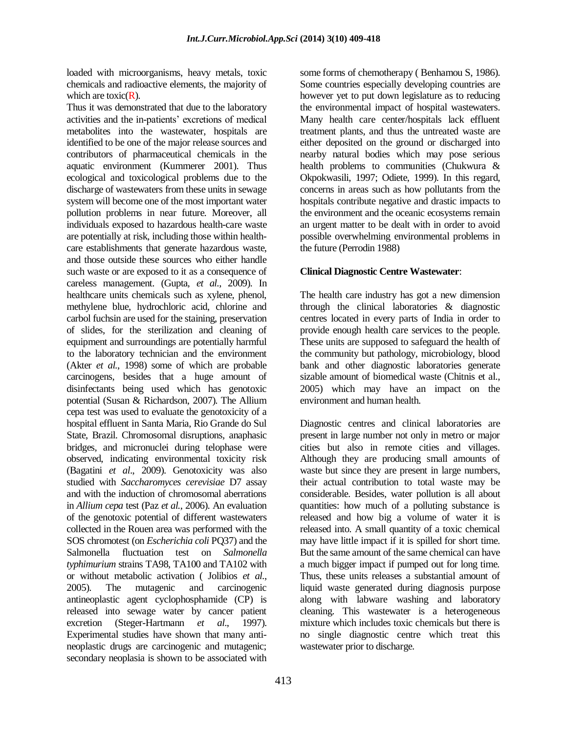loaded with microorganisms, heavy metals, toxic chemicals and radioactive elements, the majority of which are toxic $(R)$ .

Thus it was demonstrated that due to the laboratory activities and the in-patients' excretions of medical metabolites into the wastewater, hospitals are identified to be one of the major release sources and contributors of pharmaceutical chemicals in the aquatic environment (Kummerer 2001). Thus ecological and toxicological problems due to the discharge of wastewaters from these units in sewage system will become one of the most important water pollution problems in near future. Moreover, all individuals exposed to hazardous health-care waste are potentially at risk, including those within healthcare establishments that generate hazardous waste, and those outside these sources who either handle such waste or are exposed to it as a consequence of careless management. (Gupta, *et al.*, 2009). In healthcare units chemicals such as xylene, phenol, methylene blue, hydrochloric acid, chlorine and carbol fuchsin are used for the staining, preservation of slides, for the sterilization and cleaning of equipment and surroundings are potentially harmful to the laboratory technician and the environment (Akter *et al.*, 1998) some of which are probable carcinogens, besides that a huge amount of disinfectants being used which has genotoxic potential (Susan & Richardson, 2007). The Allium cepa test was used to evaluate the genotoxicity of a hospital effluent in Santa Maria, Rio Grande do Sul State, Brazil. Chromosomal disruptions, anaphasic bridges, and micronuclei during telophase were observed, indicating environmental toxicity risk (Bagatini *et al*., 2009). Genotoxicity was also studied with *Saccharomyces cerevisiae* D7 assay and with the induction of chromosomal aberrations in *Allium cepa* test (Paz *et al.*, 2006). An evaluation of the genotoxic potential of different wastewaters collected in the Rouen area was performed with the SOS chromotest (on *Escherichia coli* PQ37) and the Salmonella fluctuation test on *Salmonella typhimurium* strains TA98, TA100 and TA102 with or without metabolic activation ( Jolibios *et al.*, 2005). The mutagenic and carcinogenic antineoplastic agent cyclophosphamide (CP) is released into sewage water by cancer patient excretion (Steger-Hartmann *et al*., 1997). Experimental studies have shown that many antineoplastic drugs are carcinogenic and mutagenic; secondary neoplasia is shown to be associated with

some forms of chemotherapy ( Benhamou S, 1986). Some countries especially developing countries are however yet to put down legislature as to reducing the environmental impact of hospital wastewaters. Many health care center/hospitals lack effluent treatment plants, and thus the untreated waste are either deposited on the ground or discharged into nearby natural bodies which may pose serious health problems to communities (Chukwura & Okpokwasili, 1997; Odiete, 1999). In this regard, concerns in areas such as how pollutants from the hospitals contribute negative and drastic impacts to the environment and the oceanic ecosystems remain an urgent matter to be dealt with in order to avoid possible overwhelming environmental problems in the future (Perrodin 1988)

### **Clinical Diagnostic Centre Wastewater**:

The health care industry has got a new dimension through the clinical laboratories & diagnostic centres located in every parts of India in order to provide enough health care services to the people. These units are supposed to safeguard the health of the community but pathology, microbiology, blood bank and other diagnostic laboratories generate sizable amount of biomedical waste (Chitnis et al., 2005) which may have an impact on the environment and human health.

Diagnostic centres and clinical laboratories are present in large number not only in metro or major cities but also in remote cities and villages. Although they are producing small amounts of waste but since they are present in large numbers, their actual contribution to total waste may be considerable. Besides, water pollution is all about quantities: how much of a polluting substance is released and how big a volume of water it is released into. A small quantity of a toxic chemical may have little impact if it is spilled for short time. But the same amount of the same chemical can have a much bigger impact if pumped out for long time. Thus, these units releases a substantial amount of liquid waste generated during diagnosis purpose along with labware washing and laboratory cleaning. This wastewater is a heterogeneous mixture which includes toxic chemicals but there is no single diagnostic centre which treat this wastewater prior to discharge.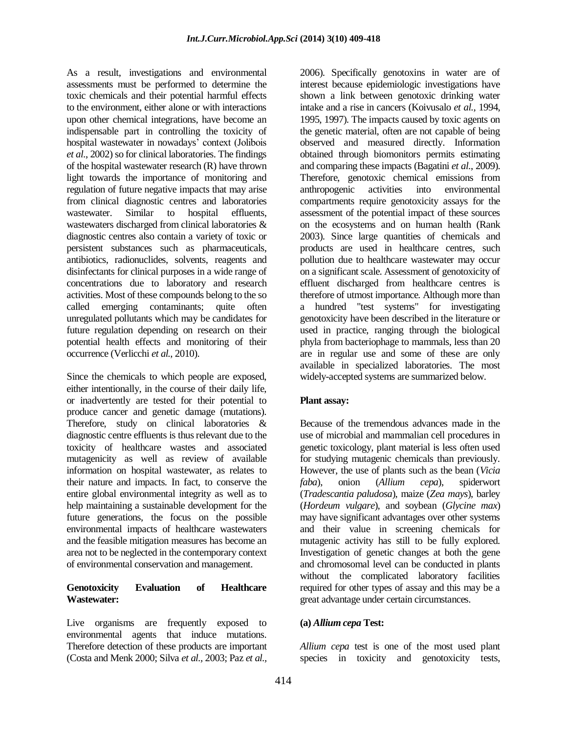As a result, investigations and environmental assessments must be performed to determine the toxic chemicals and their potential harmful effects to the environment, either alone or with interactions upon other chemical integrations, have become an indispensable part in controlling the toxicity of hospital wastewater in nowadays' context (Jolibois *et al*., 2002) so for clinical laboratories. The findings of the hospital wastewater research (R) have thrown light towards the importance of monitoring and regulation of future negative impacts that may arise from clinical diagnostic centres and laboratories wastewater. Similar to hospital effluents, wastewaters discharged from clinical laboratories & diagnostic centres also contain a variety of toxic or persistent substances such as pharmaceuticals, antibiotics, radionuclides, solvents, reagents and disinfectants for clinical purposes in a wide range of concentrations due to laboratory and research activities. Most of these compounds belong to the so called emerging contaminants; quite often unregulated pollutants which may be candidates for future regulation depending on research on their potential health effects and monitoring of their occurrence (Verlicchi *et al.*, 2010).

Since the chemicals to which people are exposed, either intentionally, in the course of their daily life, or inadvertently are tested for their potential to produce cancer and genetic damage (mutations). Therefore, study on clinical laboratories & diagnostic centre effluents is thus relevant due to the toxicity of healthcare wastes and associated mutagenicity as well as review of available information on hospital wastewater, as relates to their nature and impacts. In fact, to conserve the entire global environmental integrity as well as to help maintaining a sustainable development for the future generations, the focus on the possible environmental impacts of healthcare wastewaters and the feasible mitigation measures has become an area not to be neglected in the contemporary context of environmental conservation and management.

### **Genotoxicity Evaluation of Healthcare Wastewater:**

Live organisms are frequently exposed to environmental agents that induce mutations. Therefore detection of these products are important (Costa and Menk 2000; Silva *et al.,* 2003; Paz *et al.,*

2006). Specifically genotoxins in water are of interest because epidemiologic investigations have shown a link between genotoxic drinking water intake and a rise in cancers (Koivusalo *et al.*, 1994, 1995, 1997). The impacts caused by toxic agents on the genetic material, often are not capable of being observed and measured directly. Information obtained through biomonitors permits estimating and comparing these impacts (Bagatini *et al.*, 2009). Therefore, genotoxic chemical emissions from anthropogenic activities into environmental compartments require genotoxicity assays for the assessment of the potential impact of these sources on the ecosystems and on human health (Rank 2003). Since large quantities of chemicals and products are used in healthcare centres, such pollution due to healthcare wastewater may occur on a significant scale. Assessment of genotoxicity of effluent discharged from healthcare centres is therefore of utmost importance. Although more than a hundred "test systems" for investigating genotoxicity have been described in the literature or used in practice, ranging through the biological phyla from bacteriophage to mammals, less than 20 are in regular use and some of these are only available in specialized laboratories. The most widely-accepted systems are summarized below.

# **Plant assay:**

Because of the tremendous advances made in the use of microbial and mammalian cell procedures in genetic toxicology, plant material is less often used for studying mutagenic chemicals than previously. However, the use of plants such as the bean (*Vicia faba*), onion (*Allium cepa*), spiderwort (*Tradescantia paludosa*), maize (*Zea mays*), barley (*Hordeum vulgare*), and soybean (*Glycine max*) may have significant advantages over other systems and their value in screening chemicals for mutagenic activity has still to be fully explored. Investigation of genetic changes at both the gene and chromosomal level can be conducted in plants without the complicated laboratory facilities required for other types of assay and this may be a great advantage under certain circumstances.

#### **(a)** *Allium cepa* **Test:**

*Allium cepa* test is one of the most used plant species in toxicity and genotoxicity tests,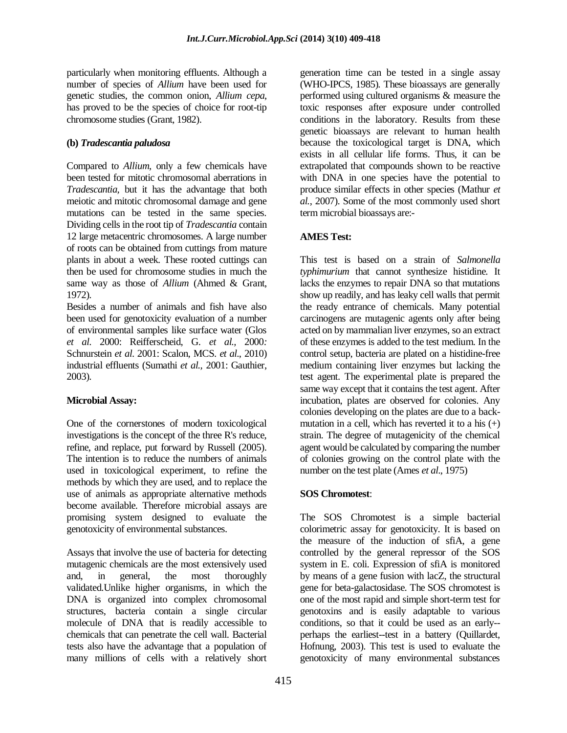particularly when monitoring effluents. Although a number of species of *Allium* have been used for genetic studies, the common onion, *Allium cepa*, has proved to be the species of choice for root-tip chromosome studies (Grant, 1982).

#### **(b)** *Tradescantia paludosa*

Compared to *Allium*, only a few chemicals have been tested for mitotic chromosomal aberrations in *Tradescantia,* but it has the advantage that both meiotic and mitotic chromosomal damage and gene mutations can be tested in the same species. Dividing cells in the root tip of *Tradescantia* contain 12 large metacentric chromosomes. A large number of roots can be obtained from cuttings from mature plants in about a week. These rooted cuttings can then be used for chromosome studies in much the same way as those of *Allium* (Ahmed & Grant, 1972).

Besides a number of animals and fish have also been used for genotoxicity evaluation of a number of environmental samples like surface water (Glos *et al*. 2000: Reifferscheid, G. *et al.,* 2000*:*  Schnurstein *et al*. 2001: Scalon, MCS. *et al*., 2010) industrial effluents (Sumathi *et al.,* 2001: Gauthier, 2003).

# **Microbial Assay:**

One of the cornerstones of modern toxicological investigations is the concept of the three R's reduce, refine, and replace, put forward by Russell (2005). The intention is to reduce the numbers of animals used in toxicological experiment, to refine the methods by which they are used, and to replace the use of animals as appropriate alternative methods become available. Therefore microbial assays are promising system designed to evaluate the genotoxicity of environmental substances.

Assays that involve the use of bacteria for detecting mutagenic chemicals are the most extensively used and, in general, the most thoroughly validated.Unlike higher organisms, in which the DNA is organized into complex chromosomal structures, bacteria contain a single circular molecule of DNA that is readily accessible to chemicals that can penetrate the cell wall. Bacterial tests also have the advantage that a population of many millions of cells with a relatively short

generation time can be tested in a single assay (WHO-IPCS, 1985). These bioassays are generally performed using cultured organisms & measure the toxic responses after exposure under controlled conditions in the laboratory. Results from these genetic bioassays are relevant to human health because the toxicological target is DNA, which exists in all cellular life forms. Thus, it can be extrapolated that compounds shown to be reactive with DNA in one species have the potential to produce similar effects in other species (Mathur *et al.*, 2007). Some of the most commonly used short term microbial bioassays are:-

# **AMES Test:**

This test is based on a strain of *Salmonella typhimurium* that cannot synthesize histidine. It lacks the enzymes to repair DNA so that mutations show up readily, and has leaky cell walls that permit the ready entrance of chemicals. Many potential carcinogens are mutagenic agents only after being acted on by mammalian liver enzymes, so an extract of these enzymes is added to the test medium. In the control setup, bacteria are plated on a histidine-free medium containing liver enzymes but lacking the test agent. The experimental plate is prepared the same way except that it contains the test agent. After incubation, plates are observed for colonies. Any colonies developing on the plates are due to a backmutation in a cell, which has reverted it to a his  $(+)$ strain. The degree of mutagenicity of the chemical agent would be calculated by comparing the number of colonies growing on the control plate with the number on the test plate (Ames *et al*., 1975)

# **SOS Chromotest**:

The SOS Chromotest is a simple bacterial colorimetric assay for genotoxicity. It is based on the measure of the induction of sfiA, a gene controlled by the general repressor of the SOS system in E. coli. Expression of sfiA is monitored by means of a gene fusion with lacZ, the structural gene for beta-galactosidase. The SOS chromotest is one of the most rapid and simple short-term test for genotoxins and is easily adaptable to various conditions, so that it could be used as an early- perhaps the earliest--test in a battery (Quillardet, Hofnung, 2003). This test is used to evaluate the genotoxicity of many environmental substances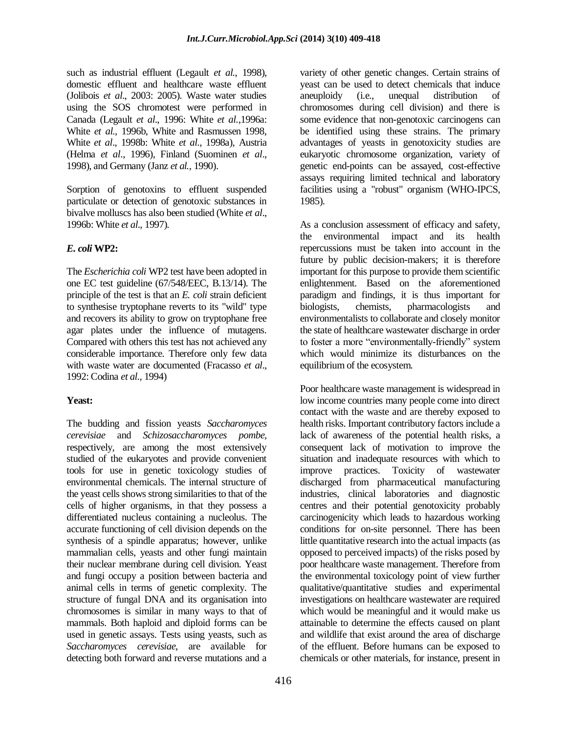such as industrial effluent (Legault *et al.*, 1998), domestic effluent and healthcare waste effluent (Jolibois *et al*., 2003: 2005). Waste water studies using the SOS chromotest were performed in Canada (Legault *et al*., 1996: White *et al.,*1996a: White *et al.,* 1996b, White and Rasmussen 1998, White *et al*., 1998b: White *et al*., 1998a), Austria (Helma *et al*., 1996), Finland (Suominen *et al*., 1998), and Germany (Janz *et al.,* 1990).

Sorption of genotoxins to effluent suspended particulate or detection of genotoxic substances in bivalve molluscs has also been studied (White *et al*., 1996b: White *et al*., 1997).

# *E. coli* **WP2:**

The *Escherichia coli* WP2 test have been adopted in one EC test guideline (67/548/EEC, B.13/14). The principle of the test is that an *E. coli* strain deficient to synthesise tryptophane reverts to its "wild" type and recovers its ability to grow on tryptophane free agar plates under the influence of mutagens. Compared with others this test has not achieved any considerable importance. Therefore only few data with waste water are documented (Fracasso *et al*., 1992: Codina *et al.,* 1994)

# **Yeast:**

The budding and fission yeasts *Saccharomyces cerevisiae* and *Schizosaccharomyces pombe*, respectively, are among the most extensively studied of the eukaryotes and provide convenient tools for use in genetic toxicology studies of environmental chemicals. The internal structure of the yeast cells shows strong similarities to that of the cells of higher organisms, in that they possess a differentiated nucleus containing a nucleolus. The accurate functioning of cell division depends on the synthesis of a spindle apparatus; however, unlike mammalian cells, yeasts and other fungi maintain their nuclear membrane during cell division. Yeast and fungi occupy a position between bacteria and animal cells in terms of genetic complexity. The structure of fungal DNA and its organisation into chromosomes is similar in many ways to that of mammals. Both haploid and diploid forms can be used in genetic assays. Tests using yeasts, such as *Saccharomyces cerevisiae*, are available for detecting both forward and reverse mutations and a

variety of other genetic changes. Certain strains of yeast can be used to detect chemicals that induce aneuploidy (i.e., unequal distribution of chromosomes during cell division) and there is some evidence that non-genotoxic carcinogens can be identified using these strains. The primary advantages of yeasts in genotoxicity studies are eukaryotic chromosome organization, variety of genetic end-points can be assayed, cost-effective assays requiring limited technical and laboratory facilities using a "robust" organism (WHO-IPCS, 1985).

As a conclusion assessment of efficacy and safety, the environmental impact and its health repercussions must be taken into account in the future by public decision-makers; it is therefore important for this purpose to provide them scientific enlightenment. Based on the aforementioned paradigm and findings, it is thus important for biologists, chemists, pharmacologists and environmentalists to collaborate and closely monitor the state of healthcare wastewater discharge in order to foster a more "environmentally-friendly" system which would minimize its disturbances on the equilibrium of the ecosystem.

Poor healthcare waste management is widespread in low income countries many people come into direct contact with the waste and are thereby exposed to health risks. Important contributory factors include a lack of awareness of the potential health risks, a consequent lack of motivation to improve the situation and inadequate resources with which to improve practices. Toxicity of wastewater discharged from pharmaceutical manufacturing industries, clinical laboratories and diagnostic centres and their potential genotoxicity probably carcinogenicity which leads to hazardous working conditions for on-site personnel. There has been little quantitative research into the actual impacts (as opposed to perceived impacts) of the risks posed by poor healthcare waste management. Therefore from the environmental toxicology point of view further qualitative/quantitative studies and experimental investigations on healthcare wastewater are required which would be meaningful and it would make us attainable to determine the effects caused on plant and wildlife that exist around the area of discharge of the effluent. Before humans can be exposed to chemicals or other materials, for instance, present in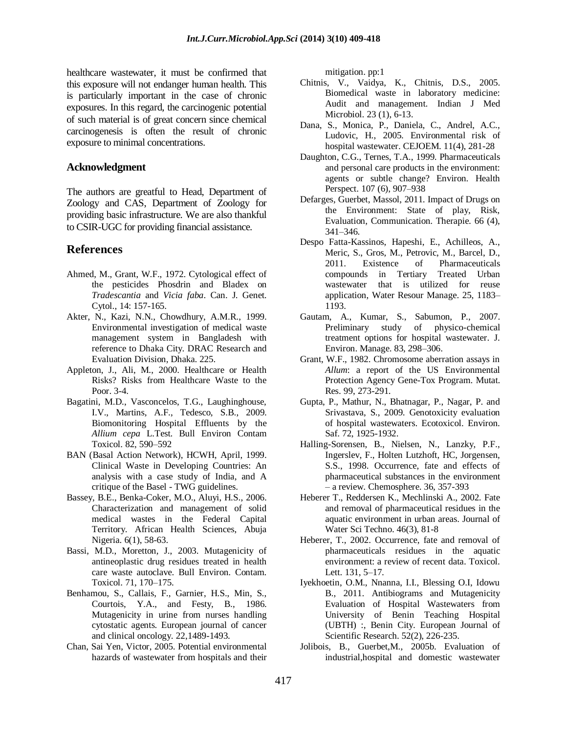healthcare wastewater, it must be confirmed that this exposure will not endanger human health. This is particularly important in the case of chronic exposures. In this regard, the carcinogenic potential of such material is of great concern since chemical carcinogenesis is often the result of chronic exposure to minimal concentrations.

#### **Acknowledgment**

The authors are greatful to Head, Department of Zoology and CAS, Department of Zoology for providing basic infrastructure. We are also thankful to CSIR-UGC for providing financial assistance.

#### **References**

- Ahmed, M., Grant, W.F., 1972. Cytological effect of the pesticides Phosdrin and Bladex on *Tradescantia* and *Vicia faba*. Can. J. Genet. Cytol., 14: 157-165.
- Akter, N., Kazi, N.N., Chowdhury, A.M.R., 1999. Environmental investigation of medical waste management system in Bangladesh with reference to Dhaka City. DRAC Research and Evaluation Division, Dhaka. 225.
- Appleton, J., Ali, M., 2000. Healthcare or Health Risks? Risks from Healthcare Waste to the Poor. 3-4.
- Bagatini, M.D., Vasconcelos, T.G., Laughinghouse, I.V., Martins, A.F., Tedesco, S.B., 2009. Biomonitoring Hospital Effluents by the *Allium cepa* L.Test. Bull Environ Contam Toxicol. 82, 590–592
- BAN (Basal Action Network), HCWH, April, 1999. Clinical Waste in Developing Countries: An analysis with a case study of India, and A critique of the Basel - TWG guidelines.
- Bassey, B.E., Benka-Coker, M.O., Aluyi, H.S., 2006. Characterization and management of solid medical wastes in the Federal Capital Territory. African Health Sciences, Abuja Nigeria. 6(1), 58-63.
- Bassi, M.D., Moretton, J., 2003. Mutagenicity of antineoplastic drug residues treated in health care waste autoclave. Bull Environ. Contam. Toxicol. 71, 170–175.
- Benhamou, S., Callais, F., Garnier, H.S., Min, S., Courtois, Y.A., and Festy, B., 1986. Mutagenicity in urine from nurses handling cytostatic agents. European journal of cancer and clinical oncology. 22,1489-1493.
- Chan, Sai Yen, Victor, 2005. Potential environmental hazards of wastewater from hospitals and their

mitigation. pp:1

- Chitnis, V., Vaidya, K., Chitnis, D.S., 2005. Biomedical waste in laboratory medicine: Audit and management. Indian J Med Microbiol. 23 (1), 6-13.
- Dana, S., Monica, P., Daniela, C., Andrel, A.C., Ludovic, H., 2005. Environmental risk of hospital wastewater. CEJOEM. 11(4), 281-28
- Daughton, C.G., Ternes, T.A., 1999. Pharmaceuticals and personal care products in the environment: agents or subtle change? Environ. Health Perspect. 107 (6), 907–938
- Defarges, Guerbet, Massol, 2011. Impact of Drugs on the Environment: State of play, Risk, Evaluation, Communication. Therapie. 66 (4), 341–346.
- Despo Fatta-Kassinos, Hapeshi, E., Achilleos, A., Meric, S., Gros, M., Petrovic, M., Barcel, D., 2011. Existence of Pharmaceuticals compounds in Tertiary Treated Urban wastewater that is utilized for reuse application, Water Resour Manage. 25, 1183– 1193.
- Gautam, A., Kumar, S., Sabumon, P., 2007. Preliminary study of physico-chemical treatment options for hospital wastewater. J. Environ. Manage. 83, 298–306.
- Grant, W.F., 1982. Chromosome aberration assays in *Allum*: a report of the US Environmental Protection Agency Gene-Tox Program. Mutat. Res. 99, 273-291.
- Gupta, P., Mathur, N., Bhatnagar, P., Nagar, P. and Srivastava, S., 2009. Genotoxicity evaluation of hospital wastewaters. Ecotoxicol. Environ. Saf. 72, 1925-1932.
- Halling-Sorensen, B., Nielsen, N., Lanzky, P.F., Ingerslev, F., Holten Lutzhoft, HC, Jorgensen, S.S., 1998. Occurrence, fate and effects of pharmaceutical substances in the environment – a review. Chemosphere. 36, 357-393
- Heberer T., Reddersen K., Mechlinski A., 2002. Fate and removal of pharmaceutical residues in the aquatic environment in urban areas. Journal of Water Sci Techno. 46(3), 81-8
- Heberer, T., 2002. Occurrence, fate and removal of pharmaceuticals residues in the aquatic environment: a review of recent data. Toxicol. Lett. 131, 5–17.
- Iyekhoetin, O.M., Nnanna, I.I., Blessing O.I, Idowu B., 2011. Antibiograms and Mutagenicity Evaluation of Hospital Wastewaters from University of Benin Teaching Hospital (UBTH) :, Benin City. European Journal of Scientific Research. 52(2), 226-235.
- Jolibois, B., Guerbet,M., 2005b. Evaluation of industrial,hospital and domestic wastewater